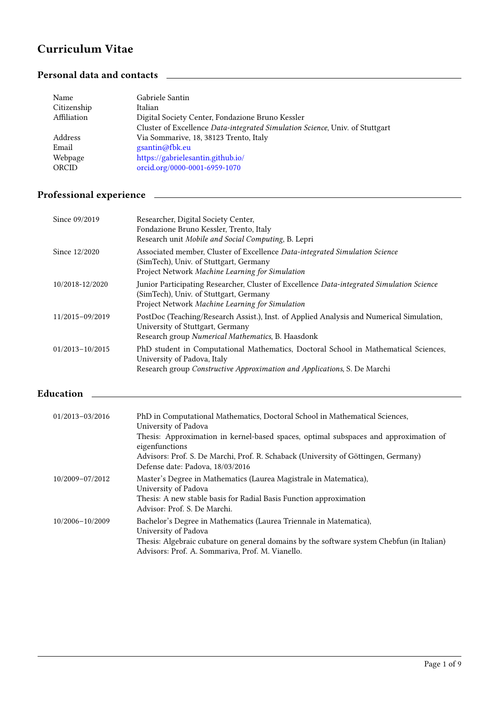## Curriculum Vitae

## Personal data and contacts <u>experience</u> and contacts and contacts **experience and a set of the set of the set of the set of the set of the set of the set of the set of the set of the set of the set of the set of the set of**

| Name        | Gabriele Santin                                                              |
|-------------|------------------------------------------------------------------------------|
| Citizenship | Italian                                                                      |
| Affiliation | Digital Society Center, Fondazione Bruno Kessler                             |
|             | Cluster of Excellence Data-integrated Simulation Science, Univ. of Stuttgart |
| Address     | Via Sommarive, 18, 38123 Trento, Italy                                       |
| Email       | gsantin@fbk.eu                                                               |
| Webpage     | https://gabrielesantin.github.io/                                            |
| ORCID       | orcid.org/0000-0001-6959-1070                                                |
|             |                                                                              |

## Professional experience **contract and the experience**  $\sim$

| Since 09/2019   | Researcher, Digital Society Center,<br>Fondazione Bruno Kessler, Trento, Italy<br>Research unit Mobile and Social Computing, B. Lepri                                                          |
|-----------------|------------------------------------------------------------------------------------------------------------------------------------------------------------------------------------------------|
| Since 12/2020   | Associated member, Cluster of Excellence Data-integrated Simulation Science<br>(SimTech), Univ. of Stuttgart, Germany<br>Project Network Machine Learning for Simulation                       |
| 10/2018-12/2020 | Junior Participating Researcher, Cluster of Excellence Data-integrated Simulation Science<br>(SimTech), Univ. of Stuttgart, Germany<br>Project Network Machine Learning for Simulation         |
| 11/2015-09/2019 | PostDoc (Teaching/Research Assist.), Inst. of Applied Analysis and Numerical Simulation,<br>University of Stuttgart, Germany<br>Research group Numerical Mathematics, B. Haasdonk              |
| 01/2013-10/2015 | PhD student in Computational Mathematics, Doctoral School in Mathematical Sciences,<br>University of Padova, Italy<br>Research group Constructive Approximation and Applications, S. De Marchi |

#### Education

| 01/2013-03/2016 | PhD in Computational Mathematics, Doctoral School in Mathematical Sciences,<br>University of Padova<br>Thesis: Approximation in kernel-based spaces, optimal subspaces and approximation of<br>eigenfunctions<br>Advisors: Prof. S. De Marchi, Prof. R. Schaback (University of Göttingen, Germany)<br>Defense date: Padova, 18/03/2016 |
|-----------------|-----------------------------------------------------------------------------------------------------------------------------------------------------------------------------------------------------------------------------------------------------------------------------------------------------------------------------------------|
| 10/2009-07/2012 | Master's Degree in Mathematics (Laurea Magistrale in Matematica),<br>University of Padova<br>Thesis: A new stable basis for Radial Basis Function approximation<br>Advisor: Prof. S. De Marchi.                                                                                                                                         |
| 10/2006-10/2009 | Bachelor's Degree in Mathematics (Laurea Triennale in Matematica),<br>University of Padova<br>Thesis: Algebraic cubature on general domains by the software system Chebfun (in Italian)<br>Advisors: Prof. A. Sommariva, Prof. M. Vianello.                                                                                             |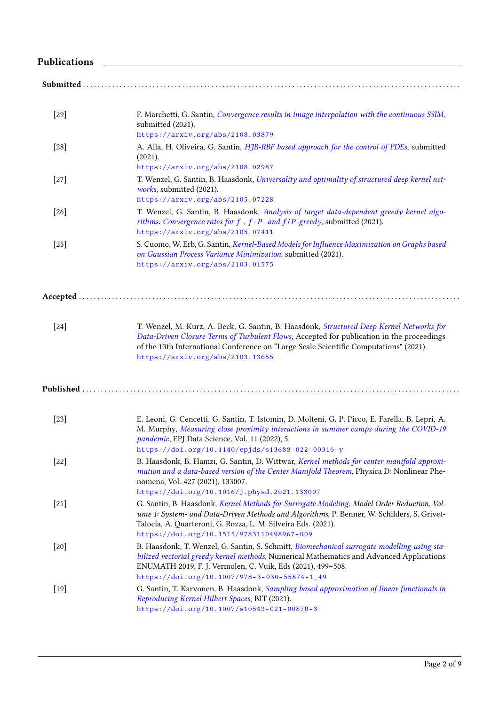### Publications 2000 and 2000 and 2000 and 2000 and 2000 and 2000 and 2000 and 2000 and 2000 and 2000 and 2000 and 2000 and 2000 and 2000 and 2000 and 2000 and 2000 and 2000 and 2000 and 2000 and 2000 and 2000 and 2000 and 20

| $[29]$ | F. Marchetti, G. Santin, Convergence results in image interpolation with the continuous SSIM,<br>submitted (2021).                                                                                                                                                                                                 |
|--------|--------------------------------------------------------------------------------------------------------------------------------------------------------------------------------------------------------------------------------------------------------------------------------------------------------------------|
|        | https://arxiv.org/abs/2108.03879                                                                                                                                                                                                                                                                                   |
| $[28]$ | A. Alla, H. Oliveira, G. Santin, HJB-RBF based approach for the control of PDEs, submitted<br>(2021).                                                                                                                                                                                                              |
|        | https://arxiv.org/abs/2108.02987                                                                                                                                                                                                                                                                                   |
| $[27]$ | T. Wenzel, G. Santin, B. Haasdonk, Universality and optimality of structured deep kernel net-<br>works, submitted (2021).                                                                                                                                                                                          |
|        | https://arxiv.org/abs/2105.07228                                                                                                                                                                                                                                                                                   |
| $[26]$ | T. Wenzel, G. Santin, B. Haasdonk, Analysis of target data-dependent greedy kernel algo-<br>rithms: Convergence rates for $f$ -, $f \cdot P$ - and $f/P$ -greedy, submitted (2021).<br>https://arxiv.org/abs/2105.07411                                                                                            |
| $[25]$ | S. Cuomo, W. Erb, G. Santin, Kernel-Based Models for Influence Maximization on Graphs based<br>on Gaussian Process Variance Minimization, submitted (2021).<br>https://arxiv.org/abs/2103.01575                                                                                                                    |
|        |                                                                                                                                                                                                                                                                                                                    |
| $[24]$ | T. Wenzel, M. Kurz, A. Beck, G. Santin, B. Haasdonk, Structured Deep Kernel Networks for<br>Data-Driven Closure Terms of Turbulent Flows, Accepted for publication in the proceedings<br>of the 13th International Conference on "Large Scale Scientific Computations" (2021).<br>https://arxiv.org/abs/2103.13655 |
|        |                                                                                                                                                                                                                                                                                                                    |
| $[23]$ | E. Leoni, G. Cencetti, G. Santin, T. Istomin, D. Molteni, G. P. Picco, E. Farella, B. Lepri, A.<br>M. Murphy, Measuring close proximity interactions in summer camps during the COVID-19<br>pandemic, EPJ Data Science, Vol. 11 (2022), 5.                                                                         |
|        | https://doi.org/10.1140/epjds/s13688-022-00316-y                                                                                                                                                                                                                                                                   |
| $[22]$ | B. Haasdonk, B. Hamzi, G. Santin, D. Wittwar, Kernel methods for center manifold approxi-<br>mation and a data-based version of the Center Manifold Theorem, Physica D: Nonlinear Phe-<br>nomena, Vol. 427 (2021), 133007.                                                                                         |
|        | https://doi.org/10.1016/j.physd.2021.133007                                                                                                                                                                                                                                                                        |
| $[21]$ | G. Santin, B. Haasdonk, Kernel Methods for Surrogate Modeling, Model Order Reduction, Vol-<br>ume 1: System- and Data-Driven Methods and Algorithms, P. Benner, W. Schilders, S. Grivet-<br>Talocia, A. Quarteroni, G. Rozza, L. M. Silveira Eds. (2021).<br>https://doi.org/10.1515/9783110498967-009             |
|        |                                                                                                                                                                                                                                                                                                                    |
| $[20]$ | B. Haasdonk, T. Wenzel, G. Santin, S. Schmitt, Biomechanical surrogate modelling using sta-<br>bilized vectorial greedy kernel methods, Numerical Mathematics and Advanced Applications<br>ENUMATH 2019, F. J. Vermolen, C. Vuik, Eds (2021), 499-508.                                                             |
|        | https://doi.org/10.1007/978-3-030-55874-1_49                                                                                                                                                                                                                                                                       |
| $[19]$ | G. Santin, T. Karvonen, B. Haasdonk, Sampling based approximation of linear functionals in<br>Reproducing Kernel Hilbert Spaces, BIT (2021).                                                                                                                                                                       |
|        | https://doi.org/10.1007/s10543-021-00870-3                                                                                                                                                                                                                                                                         |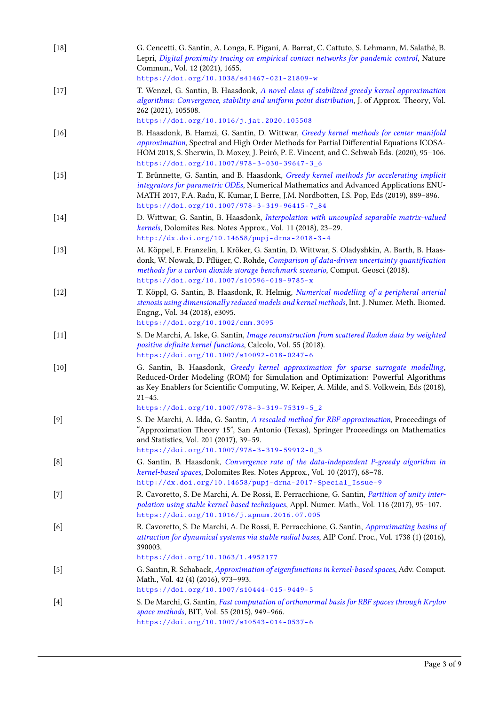| $[18]$ | G. Cencetti, G. Santin, A. Longa, E. Pigani, A. Barrat, C. Cattuto, S. Lehmann, M. Salathé, B.<br>Lepri, Digital proximity tracing on empirical contact networks for pandemic control, Nature<br>Commun., Vol. 12 (2021), 1655.<br>https://doi.org/10.1038/s41467-021-21809-w                                                                                                  |
|--------|--------------------------------------------------------------------------------------------------------------------------------------------------------------------------------------------------------------------------------------------------------------------------------------------------------------------------------------------------------------------------------|
| $[17]$ | T. Wenzel, G. Santin, B. Haasdonk, A novel class of stabilized greedy kernel approximation<br>algorithms: Convergence, stability and uniform point distribution, J. of Approx. Theory, Vol.<br>262 (2021), 105508.                                                                                                                                                             |
| $[16]$ | https://doi.org/10.1016/j.jat.2020.105508<br>B. Haasdonk, B. Hamzi, G. Santin, D. Wittwar, Greedy kernel methods for center manifold<br>approximation, Spectral and High Order Methods for Partial Differential Equations ICOSA-<br>HOM 2018, S. Sherwin, D. Moxey, J. Peiró, P. E. Vincent, and C. Schwab Eds. (2020), 95-106.<br>https://doi.org/10.1007/978-3-030-39647-3_6 |
| $[15]$ | T. Brünnette, G. Santin, and B. Haasdonk, Greedy kernel methods for accelerating implicit<br>integrators for parametric ODEs, Numerical Mathematics and Advanced Applications ENU-<br>MATH 2017, F.A. Radu, K. Kumar, I. Berre, J.M. Nordbotten, I.S. Pop, Eds (2019), 889-896.<br>https://doi.org/10.1007/978-3-319-96415-7_84                                                |
| $[14]$ | D. Wittwar, G. Santin, B. Haasdonk, Interpolation with uncoupled separable matrix-valued<br>kernels, Dolomites Res. Notes Approx., Vol. 11 (2018), 23-29.<br>http://dx.doi.org/10.14658/pupj-drna-2018-3-4                                                                                                                                                                     |
| $[13]$ | M. Köppel, F. Franzelin, I. Kröker, G. Santin, D. Wittwar, S. Oladyshkin, A. Barth, B. Haas-<br>donk, W. Nowak, D. Pflüger, C. Rohde, Comparison of data-driven uncertainty quantification<br>methods for a carbon dioxide storage benchmark scenario, Comput. Geosci (2018).<br>https://doi.org/10.1007/s10596-018-9785-x                                                     |
| $[12]$ | T. Köppl, G. Santin, B. Haasdonk, R. Helmig, Numerical modelling of a peripheral arterial<br>stenosis using dimensionally reduced models and kernel methods, Int. J. Numer. Meth. Biomed.<br>Engng., Vol. 34 (2018), e3095.<br>https://doi.org/10.1002/cnm.3095                                                                                                                |
| $[11]$ | S. De Marchi, A. Iske, G. Santin, Image reconstruction from scattered Radon data by weighted<br>positive definite kernel functions, Calcolo, Vol. 55 (2018).<br>https://doi.org/10.1007/s10092-018-0247-6                                                                                                                                                                      |
| $[10]$ | G. Santin, B. Haasdonk, Greedy kernel approximation for sparse surrogate modelling,<br>Reduced-Order Modeling (ROM) for Simulation and Optimization: Powerful Algorithms<br>as Key Enablers for Scientific Computing, W. Keiper, A. Milde, and S. Volkwein, Eds (2018),<br>$21 - 45.$                                                                                          |
|        | https://doi.org/10.1007/978-3-319-75319-5_2                                                                                                                                                                                                                                                                                                                                    |
| $[9]$  | S. De Marchi, A. Idda, G. Santin, A rescaled method for RBF approximation, Proceedings of<br>"Approximation Theory 15", San Antonio (Texas), Springer Proceedings on Mathematics<br>and Statistics, Vol. 201 (2017), 39-59.<br>https://doi.org/10.1007/978-3-319-59912-0_3                                                                                                     |
| [8]    | G. Santin, B. Haasdonk, Convergence rate of the data-independent P-greedy algorithm in<br>kernel-based spaces, Dolomites Res. Notes Approx., Vol. 10 (2017), 68-78.                                                                                                                                                                                                            |
| $[7]$  | http://dx.doi.org/10.14658/pupj-drna-2017-Special_Issue-9<br>R. Cavoretto, S. De Marchi, A. De Rossi, E. Perracchione, G. Santin, Partition of unity inter-<br>polation using stable kernel-based techniques, Appl. Numer. Math., Vol. 116 (2017), 95-107.<br>https://doi.org/10.1016/j.apnum.2016.07.005                                                                      |
| [6]    | R. Cavoretto, S. De Marchi, A. De Rossi, E. Perracchione, G. Santin, Approximating basins of<br>attraction for dynamical systems via stable radial bases, AIP Conf. Proc., Vol. 1738 (1) (2016),<br>390003.                                                                                                                                                                    |
|        | https://doi.org/10.1063/1.4952177                                                                                                                                                                                                                                                                                                                                              |
| $[5]$  | G. Santin, R. Schaback, Approximation of eigenfunctions in kernel-based spaces, Adv. Comput.<br>Math., Vol. 42 (4) (2016), 973-993.<br>https://doi.org/10.1007/s10444-015-9449-5                                                                                                                                                                                               |
| $[4]$  | S. De Marchi, G. Santin, Fast computation of orthonormal basis for RBF spaces through Krylov<br>space methods, BIT, Vol. 55 (2015), 949-966.<br>https://doi.org/10.1007/s10543-014-0537-6                                                                                                                                                                                      |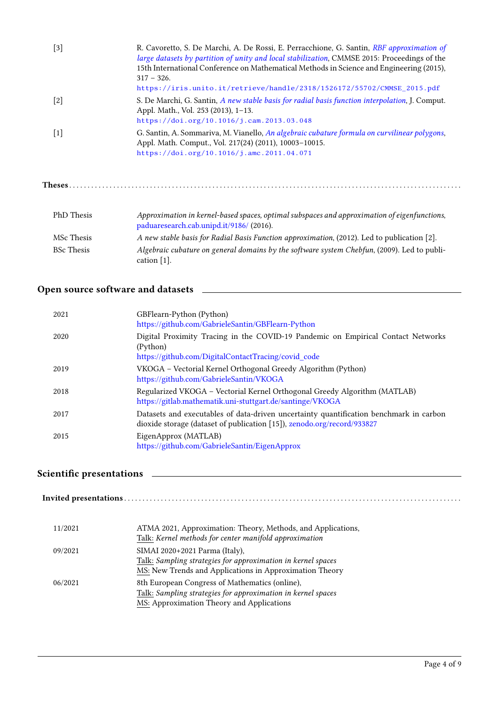| $[3]$             | R. Cavoretto, S. De Marchi, A. De Rossi, E. Perracchione, G. Santin, RBF approximation of<br>large datasets by partition of unity and local stabilization, CMMSE 2015: Proceedings of the<br>15th International Conference on Mathematical Methods in Science and Engineering (2015),<br>$317 - 326.$ |
|-------------------|-------------------------------------------------------------------------------------------------------------------------------------------------------------------------------------------------------------------------------------------------------------------------------------------------------|
|                   | https://iris.unito.it/retrieve/handle/2318/1526172/55702/CMMSE_2015.pdf                                                                                                                                                                                                                               |
| $[2]$             | S. De Marchi, G. Santin, A new stable basis for radial basis function interpolation, J. Comput.<br>Appl. Math., Vol. 253 (2013), 1-13.                                                                                                                                                                |
|                   | https://doi.org/10.1016/j.cam.2013.03.048                                                                                                                                                                                                                                                             |
| $[1]$             | G. Santin, A. Sommariva, M. Vianello, An algebraic cubature formula on curvilinear polygons,<br>Appl. Math. Comput., Vol. 217(24) (2011), 10003-10015.                                                                                                                                                |
|                   | https://doi.org/10.1016/j.amc.2011.04.071                                                                                                                                                                                                                                                             |
| Theses            |                                                                                                                                                                                                                                                                                                       |
|                   |                                                                                                                                                                                                                                                                                                       |
| <b>PhD</b> Thesis | Approximation in kernel-based spaces, optimal subspaces and approximation of eigenfunctions,<br>paduaresearch.cab.unipd.it/9186/ (2016).                                                                                                                                                              |
| MSc Thesis        | A new stable basis for Radial Basis Function approximation, (2012). Led to publication [2].                                                                                                                                                                                                           |
| <b>BSc</b> Thesis | Algebraic cubature on general domains by the software system Chebfun, (2009). Led to publi-<br>cation $[1]$ .                                                                                                                                                                                         |

# Open source software and datasets

| 2021 | GBFlearn-Python (Python)<br>https://github.com/GabrieleSantin/GBFlearn-Python                                                                                     |
|------|-------------------------------------------------------------------------------------------------------------------------------------------------------------------|
| 2020 | Digital Proximity Tracing in the COVID-19 Pandemic on Empirical Contact Networks<br>(Python)<br>https://github.com/DigitalContactTracing/covid_code               |
| 2019 | VKOGA - Vectorial Kernel Orthogonal Greedy Algorithm (Python)<br>https://github.com/GabrieleSantin/VKOGA                                                          |
| 2018 | Regularized VKOGA - Vectorial Kernel Orthogonal Greedy Algorithm (MATLAB)<br>https://gitlab.mathematik.uni-stuttgart.de/santinge/VKOGA                            |
| 2017 | Datasets and executables of data-driven uncertainty quantification benchmark in carbon<br>dioxide storage (dataset of publication [15]), zenodo.org/record/933827 |
| 2015 | EigenApprox (MATLAB)<br>https://github.com/GabrieleSantin/EigenApprox                                                                                             |

# Scientic presentations

| ATMA 2021, Approximation: Theory, Methods, and Applications,<br>Talk: Kernel methods for center manifold approximation                                      |
|-------------------------------------------------------------------------------------------------------------------------------------------------------------|
| SIMAI 2020+2021 Parma (Italy),<br>Talk: Sampling strategies for approximation in kernel spaces<br>MS: New Trends and Applications in Approximation Theory   |
| 8th European Congress of Mathematics (online),<br>Talk: Sampling strategies for approximation in kernel spaces<br>MS: Approximation Theory and Applications |
|                                                                                                                                                             |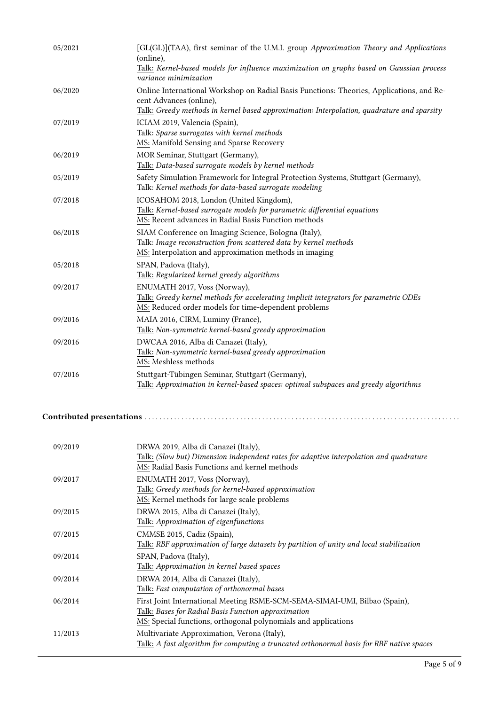| 05/2021 | [GL(GL)](TAA), first seminar of the U.M.I. group Approximation Theory and Applications<br>(online),<br>Talk: Kernel-based models for influence maximization on graphs based on Gaussian process<br>variance minimization |
|---------|--------------------------------------------------------------------------------------------------------------------------------------------------------------------------------------------------------------------------|
| 06/2020 | Online International Workshop on Radial Basis Functions: Theories, Applications, and Re-<br>cent Advances (online),<br>Talk: Greedy methods in kernel based approximation: Interpolation, quadrature and sparsity        |
| 07/2019 | ICIAM 2019, Valencia (Spain),<br>Talk: Sparse surrogates with kernel methods<br>MS: Manifold Sensing and Sparse Recovery                                                                                                 |
| 06/2019 | MOR Seminar, Stuttgart (Germany),<br>Talk: Data-based surrogate models by kernel methods                                                                                                                                 |
| 05/2019 | Safety Simulation Framework for Integral Protection Systems, Stuttgart (Germany),<br>Talk: Kernel methods for data-based surrogate modeling                                                                              |
| 07/2018 | ICOSAHOM 2018, London (United Kingdom),<br>Talk: Kernel-based surrogate models for parametric differential equations<br>MS: Recent advances in Radial Basis Function methods                                             |
| 06/2018 | SIAM Conference on Imaging Science, Bologna (Italy),<br>Talk: Image reconstruction from scattered data by kernel methods<br>MS: Interpolation and approximation methods in imaging                                       |
| 05/2018 | SPAN, Padova (Italy),<br>Talk: Regularized kernel greedy algorithms                                                                                                                                                      |
| 09/2017 | ENUMATH 2017, Voss (Norway),<br>Talk: Greedy kernel methods for accelerating implicit integrators for parametric ODEs<br>MS: Reduced order models for time-dependent problems                                            |
| 09/2016 | MAIA 2016, CIRM, Luminy (France),<br>Talk: Non-symmetric kernel-based greedy approximation                                                                                                                               |
| 09/2016 | DWCAA 2016, Alba di Canazei (Italy),<br>Talk: Non-symmetric kernel-based greedy approximation<br>MS: Meshless methods                                                                                                    |
| 07/2016 | Stuttgart-Tübingen Seminar, Stuttgart (Germany),<br>Talk: Approximation in kernel-based spaces: optimal subspaces and greedy algorithms                                                                                  |

#### Contributed presentations . . . . . . . . . . . . . . . . . . . . . . . . . . . . . . . . . . . . . . . . . . . . . . . . . . . . . . . . . . . . . . . . . . . . . . . . . . . . . . . . . . . . . .

| 09/2019 | DRWA 2019, Alba di Canazei (Italy),<br>Talk: (Slow but) Dimension independent rates for adaptive interpolation and quadrature<br>MS: Radial Basis Functions and kernel methods                      |
|---------|-----------------------------------------------------------------------------------------------------------------------------------------------------------------------------------------------------|
| 09/2017 | ENUMATH 2017, Voss (Norway),<br>Talk: Greedy methods for kernel-based approximation<br>MS: Kernel methods for large scale problems                                                                  |
| 09/2015 | DRWA 2015, Alba di Canazei (Italy),<br>Talk: Approximation of eigenfunctions                                                                                                                        |
| 07/2015 | CMMSE 2015, Cadiz (Spain),<br>Talk: RBF approximation of large datasets by partition of unity and local stabilization                                                                               |
| 09/2014 | SPAN, Padova (Italy),<br>Talk: Approximation in kernel based spaces                                                                                                                                 |
| 09/2014 | DRWA 2014, Alba di Canazei (Italy),<br>Talk: Fast computation of orthonormal bases                                                                                                                  |
| 06/2014 | First Joint International Meeting RSME-SCM-SEMA-SIMAI-UMI, Bilbao (Spain),<br>Talk: Bases for Radial Basis Function approximation<br>MS: Special functions, orthogonal polynomials and applications |
| 11/2013 | Multivariate Approximation, Verona (Italy),<br>Talk: A fast algorithm for computing a truncated orthonormal basis for RBF native spaces                                                             |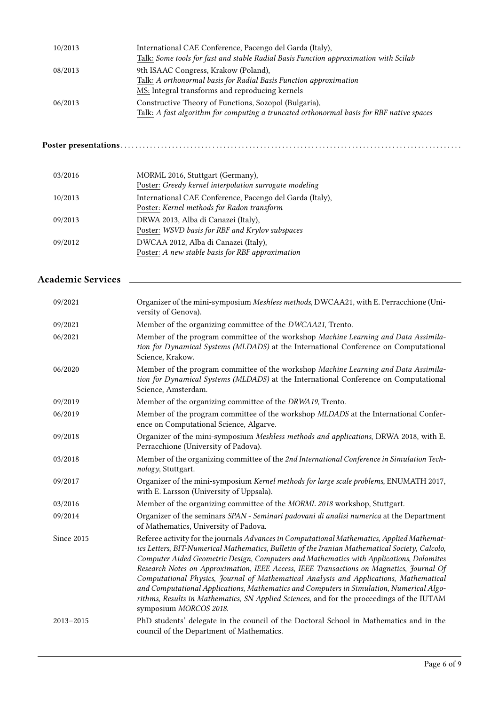| 10/2013 | International CAE Conference, Pacengo del Garda (Italy),<br>Talk: Some tools for fast and stable Radial Basis Function approximation with Scilab  |
|---------|---------------------------------------------------------------------------------------------------------------------------------------------------|
| 08/2013 | 9th ISAAC Congress, Krakow (Poland),<br>Talk: A orthonormal basis for Radial Basis Function approximation                                         |
|         | MS: Integral transforms and reproducing kernels                                                                                                   |
| 06/2013 | Constructive Theory of Functions, Sozopol (Bulgaria),<br>Talk: A fast algorithm for computing a truncated orthonormal basis for RBF native spaces |

### Poster presentations . . . . . . . . . . . . . . . . . . . . . . . . . . . . . . . . . . . . . . . . . . . . . . . . . . . . . . . . . . . . . . . . . . . . . . . . . . . . . . . . . . . . . . . . . . . . .

| 03/2016 | MORML 2016, Stuttgart (Germany),<br>Poster: Greedy kernel interpolation surrogate modeling             |
|---------|--------------------------------------------------------------------------------------------------------|
| 10/2013 | International CAE Conference, Pacengo del Garda (Italy),<br>Poster: Kernel methods for Radon transform |
| 09/2013 | DRWA 2013, Alba di Canazei (Italy),<br>Poster: WSVD basis for RBF and Krylov subspaces                 |
| 09/2012 | DWCAA 2012, Alba di Canazei (Italy),<br>Poster: A new stable basis for RBF approximation               |

## Academic Services

| 09/2021       | Organizer of the mini-symposium Meshless methods, DWCAA21, with E. Perracchione (Uni-<br>versity of Genova).                                                                                                                                                                                                                                                                                                                                                                                                                                                                                                                                                                                     |
|---------------|--------------------------------------------------------------------------------------------------------------------------------------------------------------------------------------------------------------------------------------------------------------------------------------------------------------------------------------------------------------------------------------------------------------------------------------------------------------------------------------------------------------------------------------------------------------------------------------------------------------------------------------------------------------------------------------------------|
| 09/2021       | Member of the organizing committee of the DWCAA21, Trento.                                                                                                                                                                                                                                                                                                                                                                                                                                                                                                                                                                                                                                       |
| 06/2021       | Member of the program committee of the workshop Machine Learning and Data Assimila-<br>tion for Dynamical Systems (MLDADS) at the International Conference on Computational<br>Science, Krakow.                                                                                                                                                                                                                                                                                                                                                                                                                                                                                                  |
| 06/2020       | Member of the program committee of the workshop Machine Learning and Data Assimila-<br>tion for Dynamical Systems (MLDADS) at the International Conference on Computational<br>Science, Amsterdam.                                                                                                                                                                                                                                                                                                                                                                                                                                                                                               |
| 09/2019       | Member of the organizing committee of the DRWA19, Trento.                                                                                                                                                                                                                                                                                                                                                                                                                                                                                                                                                                                                                                        |
| 06/2019       | Member of the program committee of the workshop MLDADS at the International Confer-<br>ence on Computational Science, Algarve.                                                                                                                                                                                                                                                                                                                                                                                                                                                                                                                                                                   |
| 09/2018       | Organizer of the mini-symposium Meshless methods and applications, DRWA 2018, with E.<br>Perracchione (University of Padova).                                                                                                                                                                                                                                                                                                                                                                                                                                                                                                                                                                    |
| 03/2018       | Member of the organizing committee of the 2nd International Conference in Simulation Tech-<br>nology, Stuttgart.                                                                                                                                                                                                                                                                                                                                                                                                                                                                                                                                                                                 |
| 09/2017       | Organizer of the mini-symposium Kernel methods for large scale problems, ENUMATH 2017,<br>with E. Larsson (University of Uppsala).                                                                                                                                                                                                                                                                                                                                                                                                                                                                                                                                                               |
| 03/2016       | Member of the organizing committee of the MORML 2018 workshop, Stuttgart.                                                                                                                                                                                                                                                                                                                                                                                                                                                                                                                                                                                                                        |
| 09/2014       | Organizer of the seminars SPAN - Seminari padovani di analisi numerica at the Department<br>of Mathematics, University of Padova.                                                                                                                                                                                                                                                                                                                                                                                                                                                                                                                                                                |
| Since 2015    | Referee activity for the journals Advances in Computational Mathematics, Applied Mathemat-<br>ics Letters, BIT-Numerical Mathematics, Bulletin of the Iranian Mathematical Society, Calcolo,<br>Computer Aided Geometric Design, Computers and Mathematics with Applications, Dolomites<br>Research Notes on Approximation, IEEE Access, IEEE Transactions on Magnetics, Journal Of<br>Computational Physics, Journal of Mathematical Analysis and Applications, Mathematical<br>and Computational Applications, Mathematics and Computers in Simulation, Numerical Algo-<br>rithms, Results in Mathematics, SN Applied Sciences, and for the proceedings of the IUTAM<br>symposium MORCOS 2018. |
| $2013 - 2015$ | PhD students' delegate in the council of the Doctoral School in Mathematics and in the<br>council of the Department of Mathematics.                                                                                                                                                                                                                                                                                                                                                                                                                                                                                                                                                              |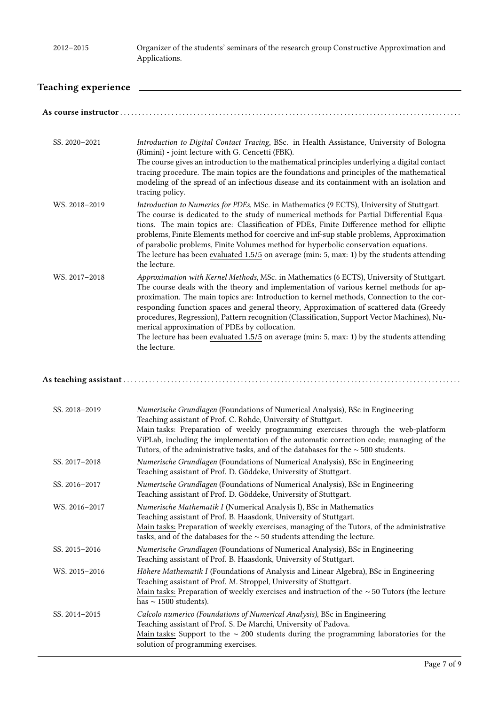### Teaching experience

| SS. 2020-2021 | Introduction to Digital Contact Tracing, BSc. in Health Assistance, University of Bologna<br>(Rimini) - joint lecture with G. Cencetti (FBK).<br>The course gives an introduction to the mathematical principles underlying a digital contact<br>tracing procedure. The main topics are the foundations and principles of the mathematical<br>modeling of the spread of an infectious disease and its containment with an isolation and<br>tracing policy.                                                                                                                                                                               |
|---------------|------------------------------------------------------------------------------------------------------------------------------------------------------------------------------------------------------------------------------------------------------------------------------------------------------------------------------------------------------------------------------------------------------------------------------------------------------------------------------------------------------------------------------------------------------------------------------------------------------------------------------------------|
| WS. 2018-2019 | Introduction to Numerics for PDEs, MSc. in Mathematics (9 ECTS), University of Stuttgart.<br>The course is dedicated to the study of numerical methods for Partial Differential Equa-<br>tions. The main topics are: Classification of PDEs, Finite Difference method for elliptic<br>problems, Finite Elements method for coercive and inf-sup stable problems, Approximation<br>of parabolic problems, Finite Volumes method for hyperbolic conservation equations.<br>The lecture has been evaluated 1.5/5 on average (min: 5, max: 1) by the students attending<br>the lecture.                                                      |
| WS. 2017-2018 | Approximation with Kernel Methods, MSc. in Mathematics (6 ECTS), University of Stuttgart.<br>The course deals with the theory and implementation of various kernel methods for ap-<br>proximation. The main topics are: Introduction to kernel methods, Connection to the cor-<br>responding function spaces and general theory, Approximation of scattered data (Greedy<br>procedures, Regression), Pattern recognition (Classification, Support Vector Machines), Nu-<br>merical approximation of PDEs by collocation.<br>The lecture has been evaluated $1.5/5$ on average (min: 5, max: 1) by the students attending<br>the lecture. |
|               |                                                                                                                                                                                                                                                                                                                                                                                                                                                                                                                                                                                                                                          |
| SS. 2018-2019 | Numerische Grundlagen (Foundations of Numerical Analysis), BSc in Engineering<br>Teaching assistant of Prof. C. Rohde, University of Stuttgart.<br>Main tasks: Preparation of weekly programming exercises through the web-platform<br>ViPLab, including the implementation of the automatic correction code; managing of the<br>Tutors, of the administrative tasks, and of the databases for the $\sim$ 500 students.                                                                                                                                                                                                                  |
| SS. 2017-2018 | Numerische Grundlagen (Foundations of Numerical Analysis), BSc in Engineering<br>Teaching assistant of Prof. D. Göddeke, University of Stuttgart.                                                                                                                                                                                                                                                                                                                                                                                                                                                                                        |
| SS. 2016-2017 | Numerische Grundlagen (Foundations of Numerical Analysis), BSc in Engineering<br>Teaching assistant of Prof. D. Göddeke, University of Stuttgart.                                                                                                                                                                                                                                                                                                                                                                                                                                                                                        |
| WS. 2016-2017 | Numerische Mathematik I (Numerical Analysis I), BSc in Mathematics<br>Teaching assistant of Prof. B. Haasdonk, University of Stuttgart.<br>Main tasks: Preparation of weekly exercises, managing of the Tutors, of the administrative<br>tasks, and of the databases for the $\sim$ 50 students attending the lecture.                                                                                                                                                                                                                                                                                                                   |
| SS. 2015-2016 | Numerische Grundlagen (Foundations of Numerical Analysis), BSc in Engineering<br>Teaching assistant of Prof. B. Haasdonk, University of Stuttgart.                                                                                                                                                                                                                                                                                                                                                                                                                                                                                       |
| WS. 2015-2016 | Höhere Mathematik I (Foundations of Analysis and Linear Algebra), BSc in Engineering<br>Teaching assistant of Prof. M. Stroppel, University of Stuttgart.<br>Main tasks: Preparation of weekly exercises and instruction of the $\sim$ 50 Tutors (the lecture<br>has $\sim$ 1500 students).                                                                                                                                                                                                                                                                                                                                              |
| SS. 2014-2015 | Calcolo numerico (Foundations of Numerical Analysis), BSc in Engineering<br>Teaching assistant of Prof. S. De Marchi, University of Padova.<br>Main tasks: Support to the $\sim$ 200 students during the programming laboratories for the<br>solution of programming exercises.                                                                                                                                                                                                                                                                                                                                                          |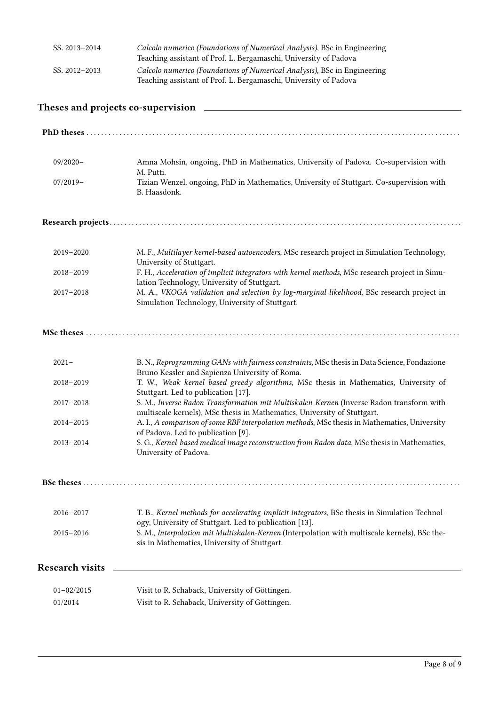| SS. 2013-2014 | Calcolo numerico (Foundations of Numerical Analysis), BSc in Engineering<br>Teaching assistant of Prof. L. Bergamaschi, University of Padova |
|---------------|----------------------------------------------------------------------------------------------------------------------------------------------|
| SS. 2012-2013 | Calcolo numerico (Foundations of Numerical Analysis), BSc in Engineering                                                                     |
|               | Teaching assistant of Prof. L. Bergamaschi, University of Padova                                                                             |

# Theses and projects co-supervision

| $09/2020 -$            | Amna Mohsin, ongoing, PhD in Mathematics, University of Padova. Co-supervision with                                                                                  |
|------------------------|----------------------------------------------------------------------------------------------------------------------------------------------------------------------|
| $07/2019-$             | M. Putti.<br>Tizian Wenzel, ongoing, PhD in Mathematics, University of Stuttgart. Co-supervision with<br>B. Haasdonk.                                                |
|                        |                                                                                                                                                                      |
| 2019-2020              | M. F., Multilayer kernel-based autoencoders, MSc research project in Simulation Technology,<br>University of Stuttgart.                                              |
| 2018-2019              | F. H., Acceleration of implicit integrators with kernel methods, MSc research project in Simu-<br>lation Technology, University of Stuttgart.                        |
| 2017-2018              | M. A., VKOGA validation and selection by log-marginal likelihood, BSc research project in<br>Simulation Technology, University of Stuttgart.                         |
|                        |                                                                                                                                                                      |
| $2021 -$               | B. N., Reprogramming GANs with fairness constraints, MSc thesis in Data Science, Fondazione<br>Bruno Kessler and Sapienza University of Roma.                        |
| 2018-2019              | T. W., Weak kernel based greedy algorithms, MSc thesis in Mathematics, University of<br>Stuttgart. Led to publication [17].                                          |
| 2017-2018              | S. M., Inverse Radon Transformation mit Multiskalen-Kernen (Inverse Radon transform with<br>multiscale kernels), MSc thesis in Mathematics, University of Stuttgart. |
| 2014-2015              | A. I., A comparison of some RBF interpolation methods, MSc thesis in Mathematics, University<br>of Padova. Led to publication [9].                                   |
| 2013-2014              | S. G., Kernel-based medical image reconstruction from Radon data, MSc thesis in Mathematics,<br>University of Padova.                                                |
|                        |                                                                                                                                                                      |
| 2016-2017              | T. B., Kernel methods for accelerating implicit integrators, BSc thesis in Simulation Technol-<br>ogy, University of Stuttgart. Led to publication [13].             |
| 2015-2016              | S. M., Interpolation mit Multiskalen-Kernen (Interpolation with multiscale kernels), BSc the-<br>sis in Mathematics, University of Stuttgart.                        |
| <b>Research visits</b> |                                                                                                                                                                      |
| $01 - 02/2015$         | Visit to R. Schaback, University of Göttingen.                                                                                                                       |
| 01/2014                | Visit to R. Schaback, University of Göttingen.                                                                                                                       |